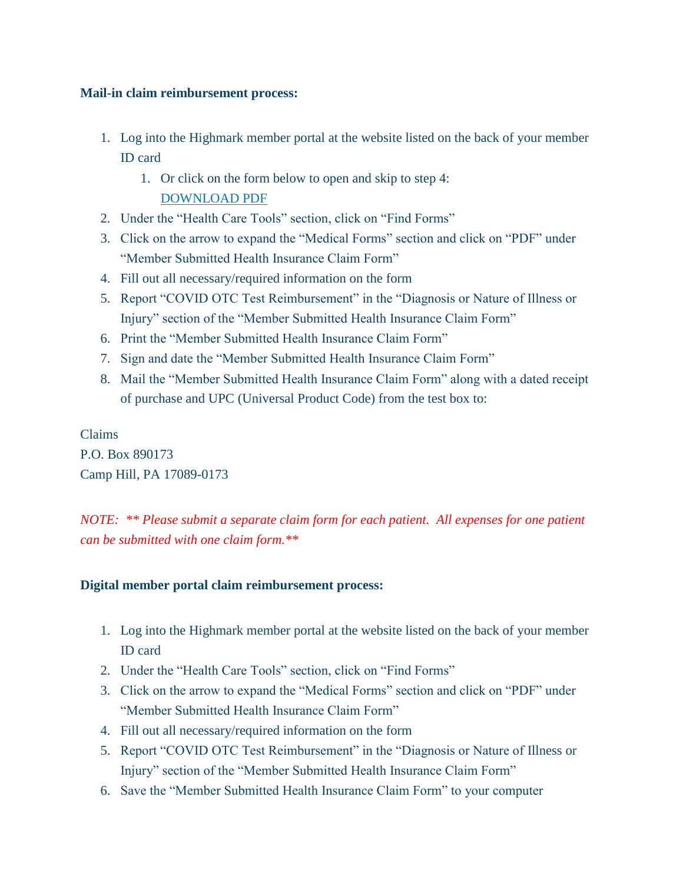## **Mail-in claim reimbursement process:**

- 1. Log into the Highmark member portal at the website listed on the back of your member ID card
	- 1. Or click on the form below to open and skip to step 4: [DOWNLOAD PDF](https://linkprotect.cudasvc.com/url?a=https%3a%2f%2ffaqs.discoverhighmark.com%2fwp-content%2fuploads%2f2022%2f01%2fMedical_Claim_Form.pdf&c=E,1,g4wUMRWony0VqRfYzRWZMb__-xMjENqxcnBk7otif1J9pF0GUwr6E1SOzi_McFmmgnkk1T8Mu-MzrvT9yoND4sUHcUmGRRKSYT7CKRmKpA8,&typo=1)
- 2. Under the "Health Care Tools" section, click on "Find Forms"
- 3. Click on the arrow to expand the "Medical Forms" section and click on "PDF" under "Member Submitted Health Insurance Claim Form"
- 4. Fill out all necessary/required information on the form
- 5. Report "COVID OTC Test Reimbursement" in the "Diagnosis or Nature of Illness or Injury" section of the "Member Submitted Health Insurance Claim Form"
- 6. Print the "Member Submitted Health Insurance Claim Form"
- 7. Sign and date the "Member Submitted Health Insurance Claim Form"
- 8. Mail the "Member Submitted Health Insurance Claim Form" along with a dated receipt of purchase and UPC (Universal Product Code) from the test box to:

Claims P.O. Box 890173 Camp Hill, PA 17089-0173

*NOTE: \*\* Please submit a separate claim form for each patient. All expenses for one patient can be submitted with one claim form.\*\**

## **Digital member portal claim reimbursement process:**

- 1. Log into the Highmark member portal at the website listed on the back of your member ID card
- 2. Under the "Health Care Tools" section, click on "Find Forms"
- 3. Click on the arrow to expand the "Medical Forms" section and click on "PDF" under "Member Submitted Health Insurance Claim Form"
- 4. Fill out all necessary/required information on the form
- 5. Report "COVID OTC Test Reimbursement" in the "Diagnosis or Nature of Illness or Injury" section of the "Member Submitted Health Insurance Claim Form"
- 6. Save the "Member Submitted Health Insurance Claim Form" to your computer